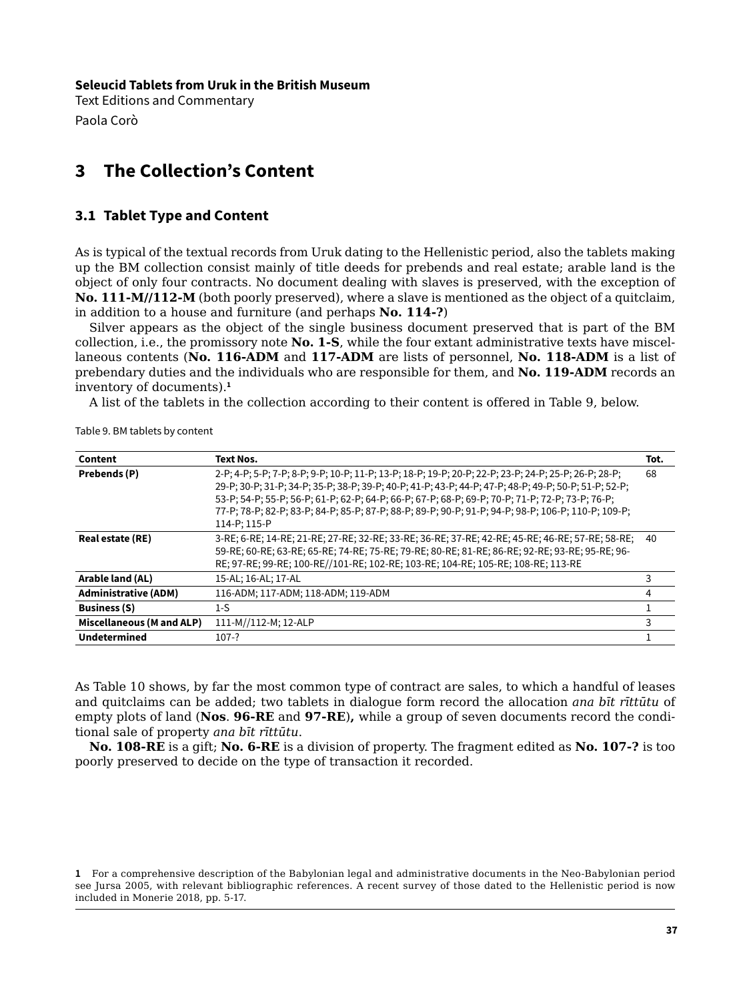**Seleucid Tablets from Uruk in the British Museum**

Text Editions and Commentary Paola Corò

## **3 The Collection's Content**

## **3.1 Tablet Type and Content**

As is typical of the textual records from Uruk dating to the Hellenistic period, also the tablets making up the BM collection consist mainly of title deeds for prebends and real estate; arable land is the object of only four contracts. No document dealing with slaves is preserved, with the exception of **No. 111-M//112-M** (both poorly preserved), where a slave is mentioned as the object of a quitclaim, in addition to a house and furniture (and perhaps **No. 114-?**)

Silver appears as the object of the single business document preserved that is part of the BM collection, i.e., the promissory note **No. 1-S**, while the four extant administrative texts have miscellaneous contents (**No. 116-ADM** and **117-ADM** are lists of personnel, **No. 118-ADM** is a list of prebendary duties and the individuals who are responsible for them, and **No. 119-ADM** records an inventory of documents).**<sup>1</sup>**

A list of the tablets in the collection according to their content is offered in Table 9, below.

| Content                     | Text Nos.                                                                                             | Tot. |
|-----------------------------|-------------------------------------------------------------------------------------------------------|------|
| Prebends (P)                | 2-P; 4-P; 5-P; 7-P; 8-P; 9-P; 10-P; 11-P; 13-P; 18-P; 19-P; 20-P; 22-P; 23-P; 24-P; 25-P; 26-P; 28-P; | 68   |
|                             | 29-P; 30-P; 31-P; 34-P; 35-P; 38-P; 39-P; 40-P; 41-P; 43-P; 44-P; 47-P; 48-P; 49-P; 50-P; 51-P; 52-P; |      |
|                             | 53-P; 54-P; 55-P; 56-P; 61-P; 62-P; 64-P; 66-P; 67-P; 68-P; 69-P; 70-P; 71-P; 72-P; 73-P; 76-P;       |      |
|                             | 77-P; 78-P; 82-P; 83-P; 84-P; 85-P; 87-P; 88-P; 89-P; 90-P; 91-P; 94-P; 98-P; 106-P; 110-P; 109-P;    |      |
|                             | 114-P; 115-P                                                                                          |      |
| Real estate (RE)            | 3-RE; 6-RE; 14-RE; 21-RE; 27-RE; 32-RE; 33-RE; 36-RE; 37-RE; 42-RE; 45-RE; 46-RE; 57-RE; 58-RE;       | 40   |
|                             | 59-RE; 60-RE; 63-RE; 65-RE; 74-RE; 75-RE; 79-RE; 80-RE; 81-RE; 86-RE; 92-RE; 93-RE; 95-RE; 96-        |      |
|                             | RE; 97-RE; 99-RE; 100-RE//101-RE; 102-RE; 103-RE; 104-RE; 105-RE; 108-RE; 113-RE                      |      |
| Arable land (AL)            | 15-AL; 16-AL; 17-AL                                                                                   |      |
| <b>Administrative (ADM)</b> | 116-ADM; 117-ADM; 118-ADM; 119-ADM                                                                    | 4    |
| <b>Business (S)</b>         | 1-S                                                                                                   |      |
| Miscellaneous (M and ALP)   | 111-M//112-M; 12-ALP                                                                                  |      |
| <b>Undetermined</b>         | $107-?$                                                                                               |      |

Table 9. BM tablets by content

As Table 10 shows, by far the most common type of contract are sales, to which a handful of leases and quitclaims can be added; two tablets in dialogue form record the allocation *ana bīt rīttūtu* of empty plots of land (**Nos**. **96-RE** and **97-RE**)**,** while a group of seven documents record the conditional sale of property *ana bīt rīttūtu*.

**No. 108-RE** is a gift; **No. 6-RE** is a division of property. The fragment edited as **No. 107-?** is too poorly preserved to decide on the type of transaction it recorded.

**<sup>1</sup>** For a comprehensive description of the Babylonian legal and administrative documents in the Neo-Babylonian period see Jursa 2005, with relevant bibliographic references. A recent survey of those dated to the Hellenistic period is now included in Monerie 2018, pp. 5-17.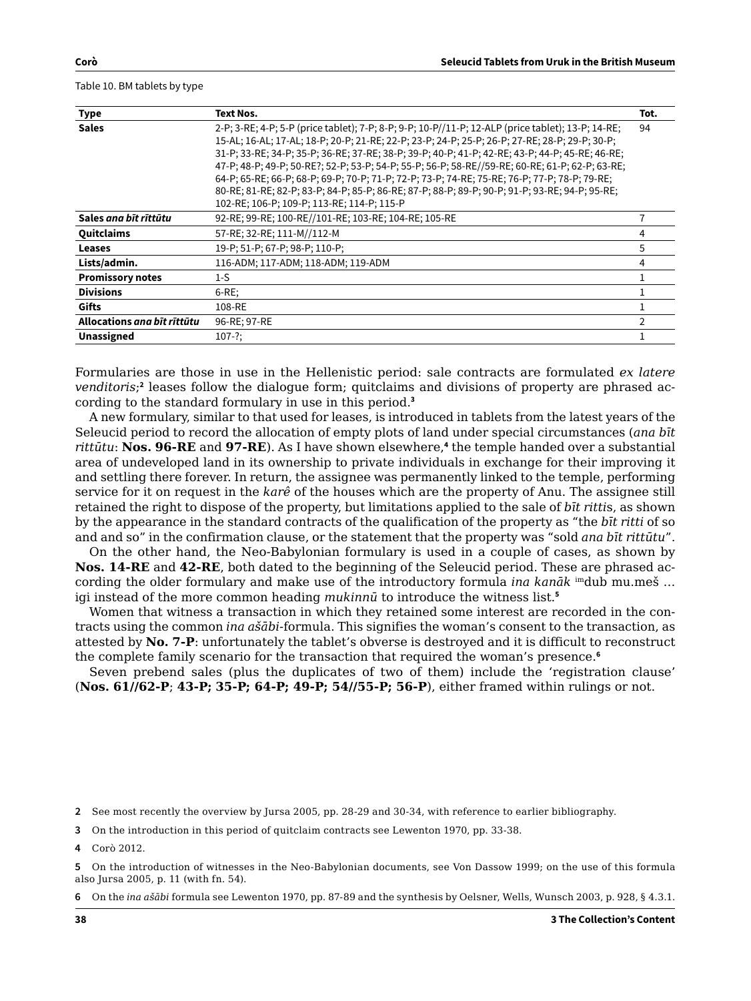Table 10. BM tablets by type

| <b>Type</b>                 | Text Nos.                                                                                                                                                                                                                                                                                                                                                                                                                                                                                                                                                                                                                                                   | Tot. |
|-----------------------------|-------------------------------------------------------------------------------------------------------------------------------------------------------------------------------------------------------------------------------------------------------------------------------------------------------------------------------------------------------------------------------------------------------------------------------------------------------------------------------------------------------------------------------------------------------------------------------------------------------------------------------------------------------------|------|
| <b>Sales</b>                | 2-P; 3-RE; 4-P; 5-P (price tablet); 7-P; 8-P; 9-P; 10-P//11-P; 12-ALP (price tablet); 13-P; 14-RE;<br>15-AL; 16-AL; 17-AL; 18-P; 20-P; 21-RE; 22-P; 23-P; 24-P; 25-P; 26-P; 27-RE; 28-P; 29-P; 30-P;<br>31-P; 33-RE; 34-P; 35-P; 36-RE; 37-RE; 38-P; 39-P; 40-P; 41-P; 42-RE; 43-P; 44-P; 45-RE; 46-RE;<br>47-P; 48-P; 49-P; 50-RE?; 52-P; 53-P; 54-P; 55-P; 56-P; 58-RE//59-RE; 60-RE; 61-P; 62-P; 63-RE;<br>64-P; 65-RE; 66-P; 68-P; 69-P; 70-P; 71-P; 72-P; 73-P; 74-RE; 75-RE; 76-P; 77-P; 78-P; 79-RE;<br>80-RE; 81-RE; 82-P; 83-P; 84-P; 85-P; 86-RE; 87-P; 88-P; 89-P; 90-P; 91-P; 93-RE; 94-P; 95-RE;<br>102-RE; 106-P; 109-P; 113-RE; 114-P; 115-P | 94   |
| Sales ana bīt rīttūtu       | 92-RE; 99-RE; 100-RE//101-RE; 103-RE; 104-RE; 105-RE                                                                                                                                                                                                                                                                                                                                                                                                                                                                                                                                                                                                        |      |
| Quitclaims                  | 57-RE; 32-RE; 111-M//112-M                                                                                                                                                                                                                                                                                                                                                                                                                                                                                                                                                                                                                                  | 4    |
| <b>Leases</b>               | 19-P; 51-P; 67-P; 98-P; 110-P;                                                                                                                                                                                                                                                                                                                                                                                                                                                                                                                                                                                                                              | 5    |
| Lists/admin.                | 116-ADM; 117-ADM; 118-ADM; 119-ADM                                                                                                                                                                                                                                                                                                                                                                                                                                                                                                                                                                                                                          | 4    |
| <b>Promissory notes</b>     | 1-S                                                                                                                                                                                                                                                                                                                                                                                                                                                                                                                                                                                                                                                         |      |
| <b>Divisions</b>            | $6$ -RE;                                                                                                                                                                                                                                                                                                                                                                                                                                                                                                                                                                                                                                                    |      |
| Gifts                       | 108-RE                                                                                                                                                                                                                                                                                                                                                                                                                                                                                                                                                                                                                                                      |      |
| Allocations ana bīt rīttūtu | 96-RE; 97-RE                                                                                                                                                                                                                                                                                                                                                                                                                                                                                                                                                                                                                                                | C    |
| <b>Unassigned</b>           | $107 - ?$ ;                                                                                                                                                                                                                                                                                                                                                                                                                                                                                                                                                                                                                                                 |      |

Formularies are those in use in the Hellenistic period: sale contracts are formulated *ex latere venditoris*; **2** leases follow the dialogue form; quitclaims and divisions of property are phrased according to the standard formulary in use in this period.**<sup>3</sup>**

A new formulary, similar to that used for leases, is introduced in tablets from the latest years of the Seleucid period to record the allocation of empty plots of land under special circumstances (*ana bīt rittūtu*: **Nos. 96-RE** and **97-RE**). As I have shown elsewhere,**<sup>4</sup>** the temple handed over a substantial area of undeveloped land in its ownership to private individuals in exchange for their improving it and settling there forever. In return, the assignee was permanently linked to the temple, performing service for it on request in the *karê* of the houses which are the property of Anu. The assignee still retained the right to dispose of the property, but limitations applied to the sale of *bīt ritti*s, as shown by the appearance in the standard contracts of the qualification of the property as "the *bīt ritti* of so and and so" in the confirmation clause, or the statement that the property was "sold *ana bīt rittūtu*".

On the other hand, the Neo-Babylonian formulary is used in a couple of cases, as shown by **Nos. 14-RE** and **42-RE**, both dated to the beginning of the Seleucid period. These are phrased according the older formulary and make use of the introductory formula *ina kanāk* imdub mu.meš … igi instead of the more common heading *mukinnū* to introduce the witness list.**<sup>5</sup>**

Women that witness a transaction in which they retained some interest are recorded in the contracts using the common *ina ašābi*-formula. This signifies the woman's consent to the transaction, as attested by **No. 7-P**: unfortunately the tablet's obverse is destroyed and it is difficult to reconstruct the complete family scenario for the transaction that required the woman's presence.**<sup>6</sup>**

Seven prebend sales (plus the duplicates of two of them) include the 'registration clause' (**Nos. 61//62-P**; **43-P; 35-P; 64-P; 49-P; 54//55-P; 56-P**), either framed within rulings or not.

**2** See most recently the overview by Jursa 2005, pp. 28-29 and 30-34, with reference to earlier bibliography.

**3** On the introduction in this period of quitclaim contracts see Lewenton 1970, pp. 33-38.

**4** Corò 2012.

**<sup>5</sup>** On the introduction of witnesses in the Neo-Babylonian documents, see Von Dassow 1999; on the use of this formula also Jursa 2005, p. 11 (with fn. 54).

**<sup>6</sup>** On the *ina ašābi* formula see Lewenton 1970, pp. 87-89 and the synthesis by Oelsner, Wells, Wunsch 2003, p. 928, § 4.3.1.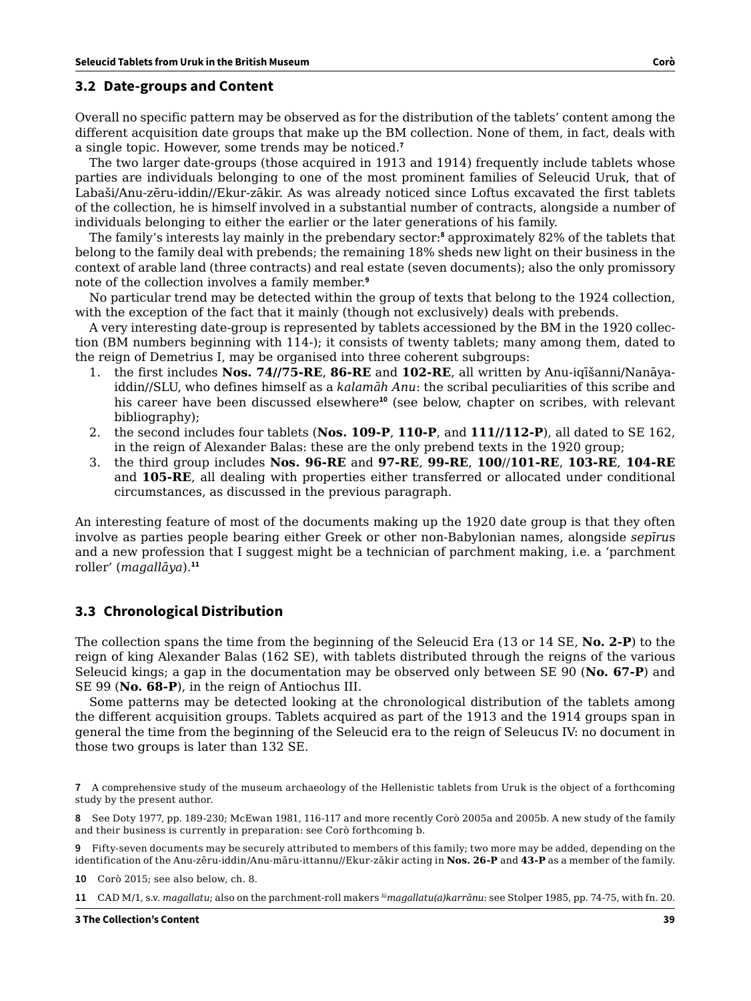## **3.2 Date-groups and Content**

Overall no specific pattern may be observed as for the distribution of the tablets' content among the different acquisition date groups that make up the BM collection. None of them, in fact, deals with a single topic. However, some trends may be noticed.**<sup>7</sup>**

The two larger date-groups (those acquired in 1913 and 1914) frequently include tablets whose parties are individuals belonging to one of the most prominent families of Seleucid Uruk, that of Labaši/Anu-zēru-iddin//Ekur-zākir. As was already noticed since Loftus excavated the first tablets of the collection, he is himself involved in a substantial number of contracts, alongside a number of individuals belonging to either the earlier or the later generations of his family.

The family's interests lay mainly in the prebendary sector:**<sup>8</sup>** approximately 82% of the tablets that belong to the family deal with prebends; the remaining 18% sheds new light on their business in the context of arable land (three contracts) and real estate (seven documents); also the only promissory note of the collection involves a family member.**<sup>9</sup>**

No particular trend may be detected within the group of texts that belong to the 1924 collection, with the exception of the fact that it mainly (though not exclusively) deals with prebends.

A very interesting date-group is represented by tablets accessioned by the BM in the 1920 collection (BM numbers beginning with 114-); it consists of twenty tablets; many among them, dated to the reign of Demetrius I, may be organised into three coherent subgroups:

- 1. the first includes **Nos. 74//75-RE**, **86-RE** and **102-RE**, all written by Anu-iqīšanni/Nanāyaiddin//SLU, who defines himself as a *kalamāh Anu*: the scribal peculiarities of this scribe and his career have been discussed elsewhere**<sup>10</sup>** (see below, chapter on scribes, with relevant bibliography);
- 2. the second includes four tablets (**Nos. 109-P**, **110-P**, and **111//112-P**), all dated to SE 162, in the reign of Alexander Balas: these are the only prebend texts in the 1920 group;
- 3. the third group includes **Nos. 96-RE** and **97-RE**, **99-RE**, **100**//**101-RE**, **103-RE**, **104-RE** and **105-RE**, all dealing with properties either transferred or allocated under conditional circumstances, as discussed in the previous paragraph.

An interesting feature of most of the documents making up the 1920 date group is that they often involve as parties people bearing either Greek or other non-Babylonian names, alongside *sepīru*s and a new profession that I suggest might be a technician of parchment making, i.e. a 'parchment roller' (*magallāya*).**<sup>11</sup>**

## **3.3 Chronological Distribution**

The collection spans the time from the beginning of the Seleucid Era (13 or 14 SE, **No. 2-P**) to the reign of king Alexander Balas (162 SE), with tablets distributed through the reigns of the various Seleucid kings; a gap in the documentation may be observed only between SE 90 (**No. 67-P**) and SE 99 (**No. 68-P**), in the reign of Antiochus III.

Some patterns may be detected looking at the chronological distribution of the tablets among the different acquisition groups. Tablets acquired as part of the 1913 and the 1914 groups span in general the time from the beginning of the Seleucid era to the reign of Seleucus IV: no document in those two groups is later than 132 SE.

**7** A comprehensive study of the museum archaeology of the Hellenistic tablets from Uruk is the object of a forthcoming study by the present author.

**8** See Doty 1977, pp. 189-230; McEwan 1981, 116-117 and more recently Corò 2005a and 2005b. A new study of the family and their business is currently in preparation: see Corò forthcoming b.

**9** Fifty-seven documents may be securely attributed to members of this family; two more may be added, depending on the identification of the Anu-zēru-iddin/Anu-māru-ittannu//Ekur-zākir acting in **Nos. 26-P** and **43-P** as a member of the family.

**10** Corò 2015; see also below, ch. 8.

**11** CAD M/1, s.v. *magallatu*; also on the parchment-roll makers lú*magallatu(a)karrānu*: see Stolper 1985, pp. 74-75, with fn. 20.

**3 The Collection's Content 39**